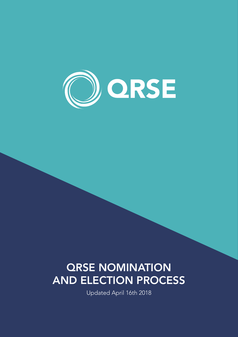

# QRSE NOMINATION AND ELECTION PROCESS

Updated April 16th 2018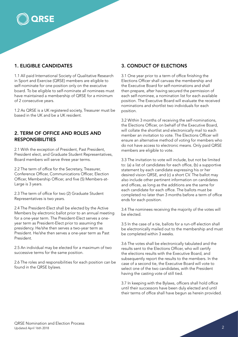# 1. ELIGIBLE CANDIDATES

**QRSE** 

1.1 All paid International Society of Qualitative Research in Sport and Exercise (QRSE) members are eligible to self-nominate for one position only on the executive board. To be eligible to self-nominate all nominees must have maintained a membership of QRSE for a minimum of 2 consecutive years.

1.2 As QRSE is a UK registered society, Treasurer must be based in the UK and be a UK resident.

#### 2. TERM OF OFFICE AND ROLES AND RESPONSIBILITIES

2.1 With the exception of President, Past President, President elect, and Graduate Student Representatives, Board members will serve three year terms.

2.2 The term of office for the Secretary, Treasurer, Conference Officer, Communications Officer, Election Officer, Membership Officer, and five (5) Members-at-Large is 3 years.

2.3 The term of office for two (2) Graduate Student Representatives is two years.

2.4 The President-Elect shall be elected by the Active Members by electronic ballot prior to an annual meeting for a one-year term. The President-Elect serves a oneyear term as President-Elect prior to assuming the presidency. He/she then serves a two-year term as President. He/she then serves a one-year term as Past President.

2.5 An individual may be elected for a maximum of two successive terms for the same position.

2.6 The roles and responsibilities for each position can be found in the QRSE bylaws.

# 3. CONDUCT OF ELECTIONS

3.1 One year prior to a term of office finishing the Elections Officer shall canvass the membership and the Executive Board for self-nominations and shall then prepare, after having secured the permission of each self-nominee, a nomination list for each available position. The Executive Board will evaluate the received nominations and shortlist two individuals for each position.

3.2 Within 3 months of receiving the self-nominations, the Elections Officer, on behalf of the Executive Board, will collate the shortlist and electronically mail to each member an invitation to vote. The Elections Officer will ensure an alternative method of voting for members who do not have access to electronic means. Only paid QRSE members are eligible to vote.

3.3 The invitation to vote will include, but not be limited to: (a) a list of candidates for each office, (b) a supportive statement by each candidate expressing his or her desired vision QRSE, and (c) a short CV. The ballot may also include other pertinent information on candidates and offices, as long as the additions are the same for each candidate for each office. The ballots must be completed no later than 3 months before a term of office ends for each position.

3.4 The nominees receiving the majority of the votes will be elected.

3.5 In the case of a tie, ballots for a run-off election shall be electronically mailed out to the membership and must be completed within 3 weeks.

3.6 The votes shall be electronically tabulated and the results sent to the Elections Officer, who will certify the elections results with the Executive Board, and subsequently report the results to the members. In the case of a second tie, the Executive Board will vote to select one of the two candidates, with the President having the casting vote of still tied.

3.7 In keeping with the Bylaws, officers shall hold office until their successors have been duly elected and until their terms of office shall have begun as herein provided.